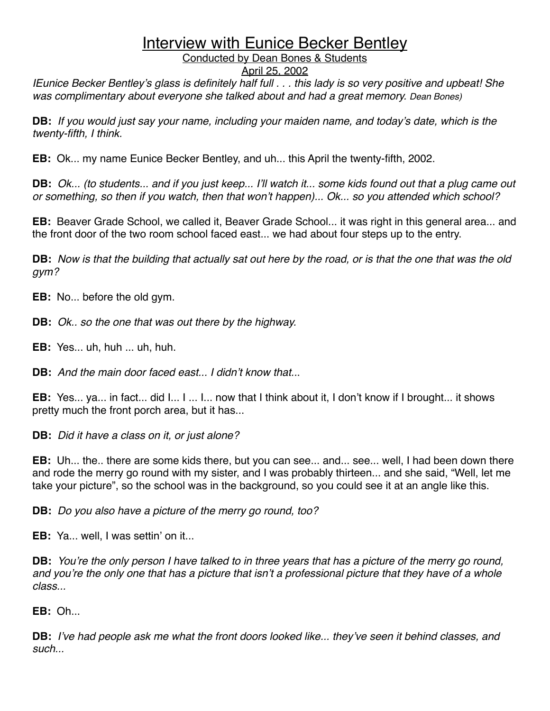Conducted by Dean Bones & Students

#### April 25, 2002

*IEunice Becker Bentley*'*s glass is definitely half full . . . this lady is so very positive and upbeat! She was complimentary about everyone she talked about and had a great memory. Dean Bones)*

**DB:** *If you would just say your name, including your maiden name, and today*'*s date, which is the twenty-fifth, I think.*

**EB:** Ok... my name Eunice Becker Bentley, and uh... this April the twenty-fifth, 2002.

**DB:** *Ok... (to students... and if you just keep... I*'*ll watch it... some kids found out that a plug came out or something, so then if you watch, then that won*'*t happen)... Ok... so you attended which school?*

**EB:** Beaver Grade School, we called it, Beaver Grade School... it was right in this general area... and the front door of the two room school faced east... we had about four steps up to the entry.

**DB:** *Now is that the building that actually sat out here by the road, or is that the one that was the old gym?*

**EB:** No... before the old gym.

**DB:** *Ok.. so the one that was out there by the highway.*

**EB:** Yes... uh, huh ... uh, huh.

**DB:** *And the main door faced east... I didn*'*t know that..*.

**EB:** Yes... ya... in fact... did I... I ... I... now that I think about it, I don't know if I brought... it shows pretty much the front porch area, but it has...

**DB:** *Did it have a class on it, or just alone?*

**EB:** Uh... the.. there are some kids there, but you can see... and... see... well, I had been down there and rode the merry go round with my sister, and I was probably thirteen... and she said, "Well, let me take your picture", so the school was in the background, so you could see it at an angle like this.

**DB:** *Do you also have a picture of the merry go round, too?*

**EB:** Ya... well, I was settin' on it...

**DB:** *You*'*re the only person I have talked to in three years that has a picture of the merry go round, and you*'*re the only one that has a picture that isn*'*t a professional picture that they have of a whole class...*

**EB:** Oh...

**DB:** *I*'*ve had people ask me what the front doors looked like... they*'*ve seen it behind classes, and such...*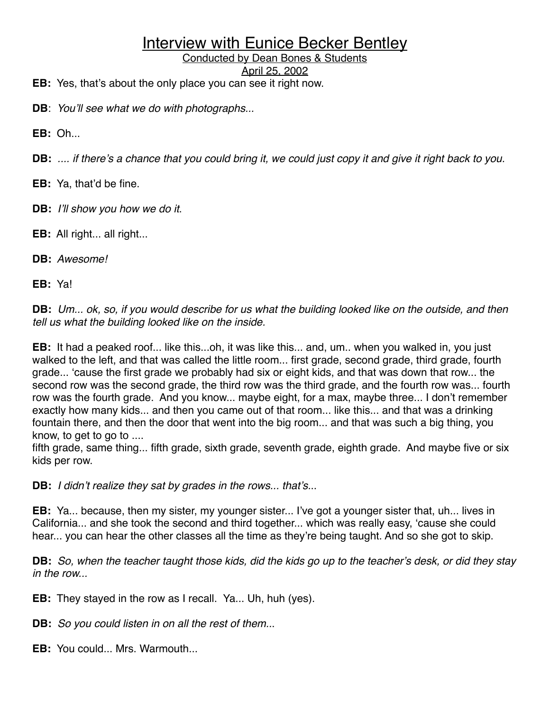Conducted by Dean Bones & Students

April 25, 2002

**EB:** Yes, that's about the only place you can see it right now.

**DB**: *You*'*ll see what we do with photographs...*

**EB:** Oh...

**DB:** *.... if there*'*s a chance that you could bring it, we could just copy it and give it right back to you.*

**EB:** Ya, that'd be fine.

- **DB:** *I*'*ll show you how we do it*.
- **EB:** All right... all right...
- **DB:** *Awesome!*

**EB:** Ya!

**DB:** *Um... ok, so, if you would describe for us what the building looked like on the outside, and then tell us what the building looked like on the inside.*

**EB:** It had a peaked roof... like this...oh, it was like this... and, um.. when you walked in, you just walked to the left, and that was called the little room... first grade, second grade, third grade, fourth grade... ʻcause the first grade we probably had six or eight kids, and that was down that row... the second row was the second grade, the third row was the third grade, and the fourth row was... fourth row was the fourth grade. And you know... maybe eight, for a max, maybe three... I don't remember exactly how many kids... and then you came out of that room... like this... and that was a drinking fountain there, and then the door that went into the big room... and that was such a big thing, you know, to get to go to ....

fifth grade, same thing... fifth grade, sixth grade, seventh grade, eighth grade. And maybe five or six kids per row.

**DB:** *I didn*'*t realize they sat by grades in the rows... that*'*s.*..

**EB:** Ya... because, then my sister, my younger sister... I've got a younger sister that, uh... lives in California... and she took the second and third together... which was really easy, ʻcause she could hear... you can hear the other classes all the time as they're being taught. And so she got to skip.

**DB:** *So, when the teacher taught those kids, did the kids go up to the teacher*'*s desk, or did they stay in the row...*

**EB:** They stayed in the row as I recall. Ya... Uh, huh (yes).

**DB:** *So you could listen in on all the rest of them..*.

**EB:** You could... Mrs. Warmouth...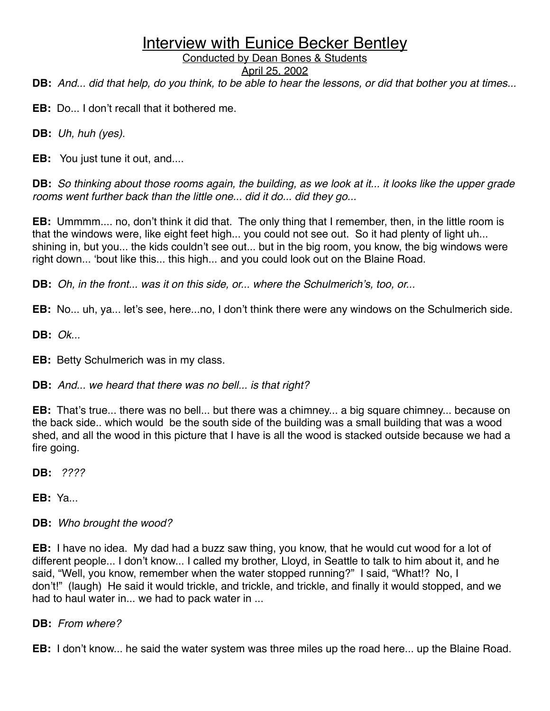#### Conducted by Dean Bones & Students

April 25, 2002

**DB:** *And... did that help, do you think, to be able to hear the lessons, or did that bother you at times...*

**EB:** Do... I don't recall that it bothered me.

**DB:** *Uh, huh (yes).*

**EB:** You just tune it out, and....

**DB:** *So thinking about those rooms again, the building, as we look at it... it looks like the upper grade rooms went further back than the little one... did it do... did they go...*

**EB:** Ummmm.... no, don't think it did that. The only thing that I remember, then, in the little room is that the windows were, like eight feet high... you could not see out. So it had plenty of light uh... shining in, but you... the kids couldn't see out... but in the big room, you know, the big windows were right down... ʻbout like this... this high... and you could look out on the Blaine Road.

**DB:** *Oh, in the front... was it on this side, or... where the Schulmerich*'*s, too, or...*

**EB:** No... uh, ya... let's see, here...no, I don't think there were any windows on the Schulmerich side.

**DB:** *Ok...*

**EB:** Betty Schulmerich was in my class.

**DB:** *And... we heard that there was no bell... is that right?*

**EB:** That's true... there was no bell... but there was a chimney... a big square chimney... because on the back side.. which would be the south side of the building was a small building that was a wood shed, and all the wood in this picture that I have is all the wood is stacked outside because we had a fire going.

**DB:** *????*

**EB:** Ya...

#### **DB:** *Who brought the wood?*

**EB:** I have no idea. My dad had a buzz saw thing, you know, that he would cut wood for a lot of different people... I don't know... I called my brother, Lloyd, in Seattle to talk to him about it, and he said, "Well, you know, remember when the water stopped running?" I said, "What!? No, I don't!" (laugh) He said it would trickle, and trickle, and trickle, and finally it would stopped, and we had to haul water in... we had to pack water in ...

**DB:** *From where?*

**EB:** I don't know... he said the water system was three miles up the road here... up the Blaine Road.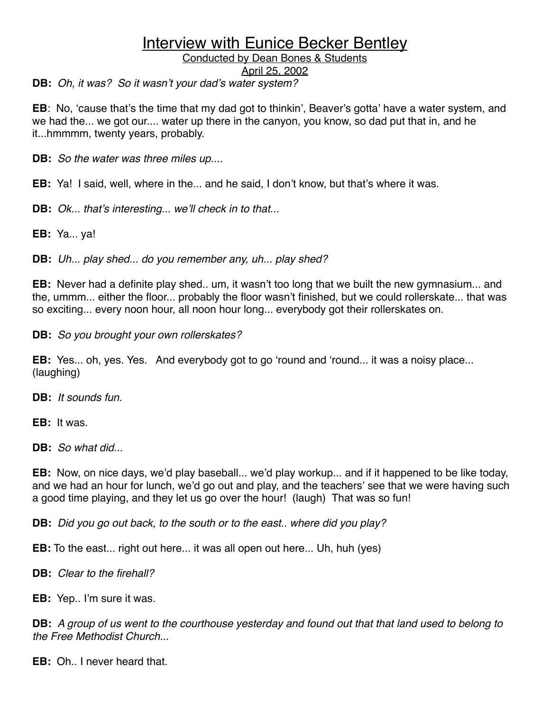Conducted by Dean Bones & Students

April 25, 2002

**DB:** *Oh, it was? So it wasn*'*t your dad*'*s water system?*

**EB**: No, ʻcause that's the time that my dad got to thinkin', Beaver's gotta' have a water system, and we had the... we got our.... water up there in the canyon, you know, so dad put that in, and he it...hmmmm, twenty years, probably.

**DB:** *So the water was three miles up....*

**EB:** Ya! I said, well, where in the... and he said, I don't know, but that's where it was.

**DB:** *Ok... that*'*s interesting... we*'*ll check in to that...*

**EB:** Ya... ya!

**DB:** *Uh... play shed... do you remember any, uh... play shed?*

**EB:** Never had a definite play shed.. um, it wasn't too long that we built the new gymnasium... and the, ummm... either the floor... probably the floor wasn't finished, but we could rollerskate... that was so exciting... every noon hour, all noon hour long... everybody got their rollerskates on.

**DB:** *So you brought your own rollerskates?*

**EB:** Yes... oh, yes. Yes. And everybody got to go ʻround and ʻround... it was a noisy place... (laughing)

**DB:** *It sounds fun.*

**EB:** It was.

**DB:** *So what did...*

**EB:** Now, on nice days, we'd play baseball... we'd play workup... and if it happened to be like today, and we had an hour for lunch, we'd go out and play, and the teachers' see that we were having such a good time playing, and they let us go over the hour! (laugh) That was so fun!

**DB:** *Did you go out back, to the south or to the east.. where did you play?*

**EB:** To the east... right out here... it was all open out here... Uh, huh (yes)

**DB:** *Clear to the firehall?*

**EB:** Yep.. I'm sure it was.

**DB:** *A group of us went to the courthouse yesterday and found out that that land used to belong to the Free Methodist Church.*..

**EB:** Oh.. I never heard that.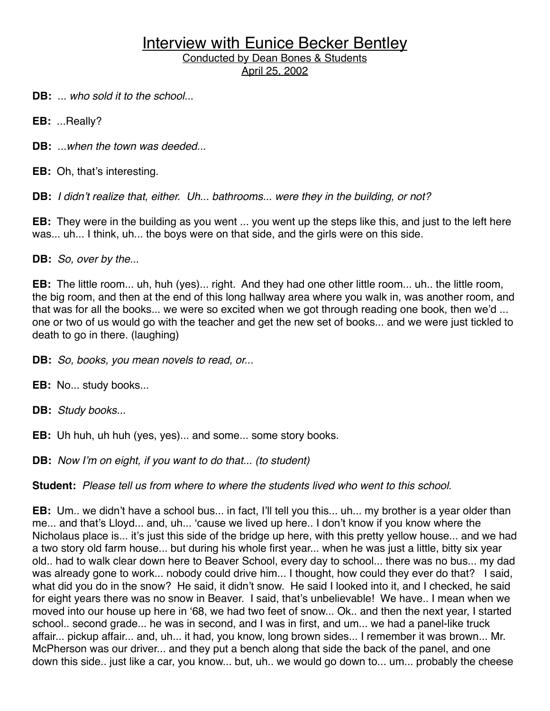**DB:** *... who sold it to the school...*

**EB:** ...Really?

**DB:** *...when the town was deeded...*

**EB:** Oh, that's interesting.

**DB:** *I didn*'*t realize that, either. Uh... bathrooms... were they in the building, or not?*

**EB:** They were in the building as you went ... you went up the steps like this, and just to the left here was... uh... I think, uh... the boys were on that side, and the girls were on this side.

**DB:** *So, over by the...*

**EB:** The little room... uh, huh (yes)... right. And they had one other little room... uh.. the little room, the big room, and then at the end of this long hallway area where you walk in, was another room, and that was for all the books... we were so excited when we got through reading one book, then we'd ... one or two of us would go with the teacher and get the new set of books... and we were just tickled to death to go in there. (laughing)

**DB:** *So, books, you mean novels to read, or...*

**EB:** No... study books...

**DB:** *Study books...*

**EB:** Uh huh, uh huh (yes, yes)... and some... some story books.

**DB:** *Now I*'*m on eight, if you want to do that... (to student)*

**Student:** *Please tell us from where to where the students lived who went to this school.*

**EB:** Um.. we didn't have a school bus... in fact, I'll tell you this... uh... my brother is a year older than me... and that's Lloyd... and, uh... ʻcause we lived up here.. I don't know if you know where the Nicholaus place is... it's just this side of the bridge up here, with this pretty yellow house... and we had a two story old farm house... but during his whole first year... when he was just a little, bitty six year old.. had to walk clear down here to Beaver School, every day to school... there was no bus... my dad was already gone to work... nobody could drive him... I thought, how could they ever do that? I said, what did you do in the snow? He said, it didn't snow. He said I looked into it, and I checked, he said for eight years there was no snow in Beaver. I said, that's unbelievable! We have.. I mean when we moved into our house up here in ʻ68, we had two feet of snow... Ok.. and then the next year, I started school.. second grade... he was in second, and I was in first, and um... we had a panel-like truck affair... pickup affair... and, uh... it had, you know, long brown sides... I remember it was brown... Mr. McPherson was our driver... and they put a bench along that side the back of the panel, and one down this side.. just like a car, you know... but, uh.. we would go down to... um... probably the cheese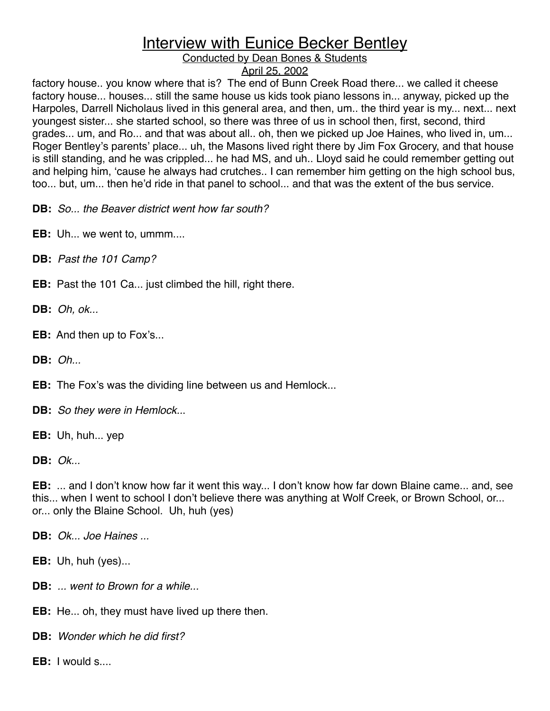Conducted by Dean Bones & Students

#### April 25, 2002

factory house.. you know where that is? The end of Bunn Creek Road there... we called it cheese factory house... houses... still the same house us kids took piano lessons in... anyway, picked up the Harpoles, Darrell Nicholaus lived in this general area, and then, um.. the third year is my... next... next youngest sister... she started school, so there was three of us in school then, first, second, third grades... um, and Ro... and that was about all.. oh, then we picked up Joe Haines, who lived in, um... Roger Bentley's parents' place... uh, the Masons lived right there by Jim Fox Grocery, and that house is still standing, and he was crippled... he had MS, and uh.. Lloyd said he could remember getting out and helping him, ʻcause he always had crutches.. I can remember him getting on the high school bus, too... but, um... then he'd ride in that panel to school... and that was the extent of the bus service.

**DB:** *So... the Beaver district went how far south?*

**EB:** Uh... we went to, ummm....

**DB:** *Past the 101 Camp?*

- **EB:** Past the 101 Ca... just climbed the hill, right there.
- **DB:** *Oh, ok...*
- **EB:** And then up to Fox's...
- **DB:** *Oh...*

**EB:** The Fox's was the dividing line between us and Hemlock...

**DB:** *So they were in Hemlock..*.

**EB:** Uh, huh... yep

**DB:** *Ok...*

**EB:** ... and I don't know how far it went this way... I don't know how far down Blaine came... and, see this... when I went to school I don't believe there was anything at Wolf Creek, or Brown School, or... or... only the Blaine School. Uh, huh (yes)

**DB:** *Ok... Joe Haines ...*

**EB:** Uh, huh (yes)...

- **DB:** *... went to Brown for a while...*
- **EB:** He... oh, they must have lived up there then.
- **DB:** *Wonder which he did first?*
- **EB:** I would s....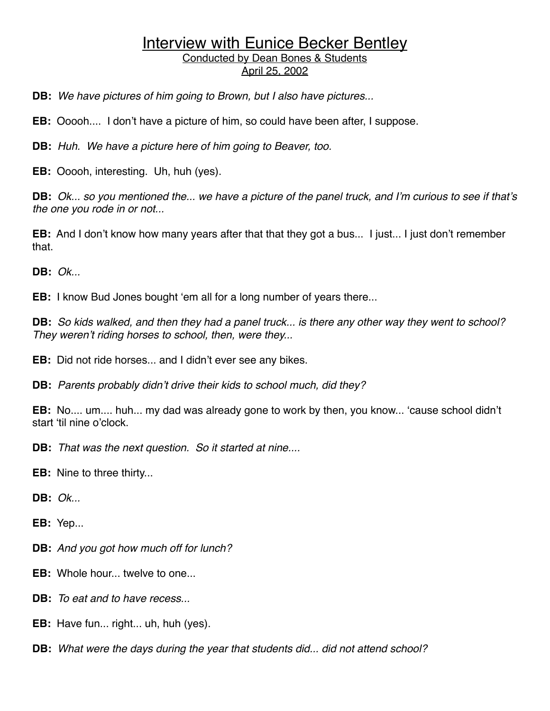**DB:** *We have pictures of him going to Brown, but I also have pictures...*

**EB:** Ooooh.... I don't have a picture of him, so could have been after, I suppose.

**DB:** *Huh. We have a picture here of him going to Beaver, too.*

**EB:** Ooooh, interesting. Uh, huh (yes).

**DB:** *Ok... so you mentioned the... we have a picture of the panel truck, and I*'*m curious to see if that*'*s the one you rode in or not...*

**EB:** And I don't know how many years after that that they got a bus... I just... I just don't remember that.

**DB:** *Ok...*

**EB:** I know Bud Jones bought ʻem all for a long number of years there...

**DB:** *So kids walked, and then they had a panel truck... is there any other way they went to school? They weren*'*t riding horses to school, then, were they...*

**EB:** Did not ride horses... and I didn't ever see any bikes.

**DB:** *Parents probably didn*'*t drive their kids to school much, did they?*

**EB:** No.... um.... huh... my dad was already gone to work by then, you know... ʻcause school didn't start ʻtil nine o'clock.

**DB:** *That was the next question. So it started at nine....*

**EB:** Nine to three thirty...

**DB:** *Ok...*

**EB:** Yep...

**DB:** *And you got how much off for lunch?*

**EB:** Whole hour... twelve to one...

**DB:** *To eat and to have recess...*

**EB:** Have fun... right... uh, huh (yes).

**DB:** *What were the days during the year that students did... did not attend school?*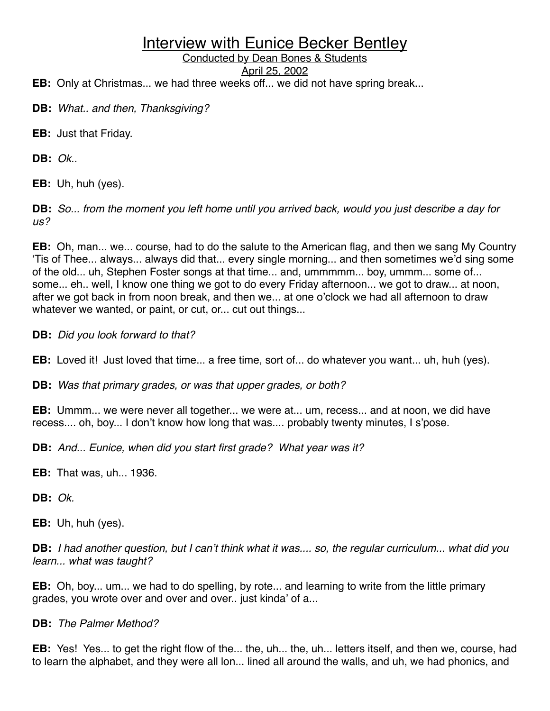Conducted by Dean Bones & Students

April 25, 2002

**EB:** Only at Christmas... we had three weeks off... we did not have spring break...

- **DB:** *What.. and then, Thanksgiving?*
- **EB:** Just that Friday.

**DB:** *Ok..*

**EB:** Uh, huh (yes).

**DB:** *So... from the moment you left home until you arrived back, would you just describe a day for us?*

**EB:** Oh, man... we... course, had to do the salute to the American flag, and then we sang My Country ʻTis of Thee... always... always did that... every single morning... and then sometimes we'd sing some of the old... uh, Stephen Foster songs at that time... and, ummmmm... boy, ummm... some of... some... eh.. well, I know one thing we got to do every Friday afternoon... we got to draw... at noon, after we got back in from noon break, and then we... at one o'clock we had all afternoon to draw whatever we wanted, or paint, or cut, or... cut out things...

**DB:** *Did you look forward to that?*

**EB:** Loved it! Just loved that time... a free time, sort of... do whatever you want... uh, huh (yes).

**DB:** *Was that primary grades, or was that upper grades, or both?*

**EB:** Ummm... we were never all together... we were at... um, recess... and at noon, we did have recess.... oh, boy... I don't know how long that was.... probably twenty minutes, I s'pose.

**DB:** *And... Eunice, when did you start first grade? What year was it?*

**EB:** That was, uh... 1936.

**DB:** *Ok.*

**EB:** Uh, huh (yes).

**DB:** *I had another question, but I can*'*t think what it was.... so, the regular curriculum... what did you learn... what was taught?*

**EB:** Oh, boy... um... we had to do spelling, by rote... and learning to write from the little primary grades, you wrote over and over and over.. just kinda' of a...

#### **DB:** *The Palmer Method?*

**EB:** Yes! Yes... to get the right flow of the... the, uh... the, uh... letters itself, and then we, course, had to learn the alphabet, and they were all lon... lined all around the walls, and uh, we had phonics, and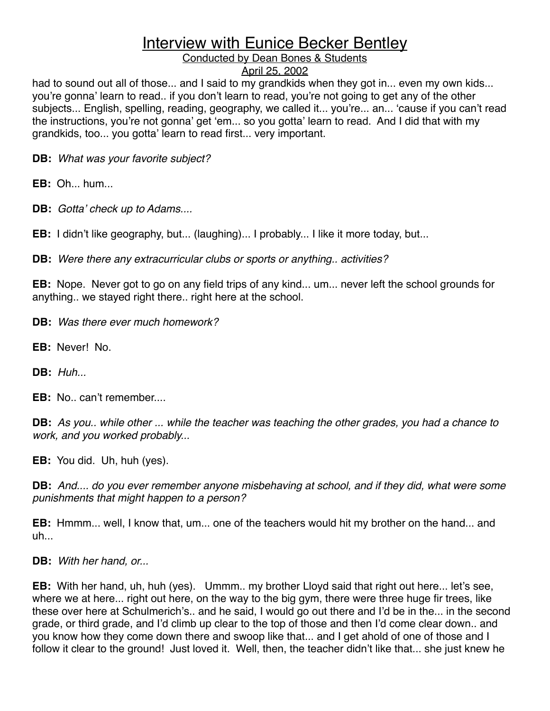Conducted by Dean Bones & Students

#### April 25, 2002

had to sound out all of those... and I said to my grandkids when they got in... even my own kids... you're gonna' learn to read.. if you don't learn to read, you're not going to get any of the other subjects... English, spelling, reading, geography, we called it... you're... an... ʻcause if you can't read the instructions, you're not gonna' get ʻem... so you gotta' learn to read. And I did that with my grandkids, too... you gotta' learn to read first... very important.

**DB:** *What was your favorite subject?*

**EB:** Oh... hum...

**DB:** *Gotta*' *check up to Adams....*

**EB:** I didn't like geography, but... (laughing)... I probably... I like it more today, but...

**DB:** *Were there any extracurricular clubs or sports or anything.. activities?*

**EB:** Nope. Never got to go on any field trips of any kind... um... never left the school grounds for anything.. we stayed right there.. right here at the school.

**DB:** *Was there ever much homework?*

**EB:** Never! No.

**DB:** *Huh...*

**EB:** No.. can't remember....

**DB:** *As you.. while other ... while the teacher was teaching the other grades, you had a chance to work, and you worked probably...*

**EB:** You did. Uh, huh (yes).

**DB:** *And.... do you ever remember anyone misbehaving at school, and if they did, what were some punishments that might happen to a person?*

**EB:** Hmmm... well, I know that, um... one of the teachers would hit my brother on the hand... and  $uh$ ...

**DB:** *With her hand, or...*

**EB:** With her hand, uh, huh (yes). Ummm.. my brother Lloyd said that right out here... let's see, where we at here... right out here, on the way to the big gym, there were three huge fir trees, like these over here at Schulmerich's.. and he said, I would go out there and I'd be in the... in the second grade, or third grade, and I'd climb up clear to the top of those and then I'd come clear down.. and you know how they come down there and swoop like that... and I get ahold of one of those and I follow it clear to the ground! Just loved it. Well, then, the teacher didn't like that... she just knew he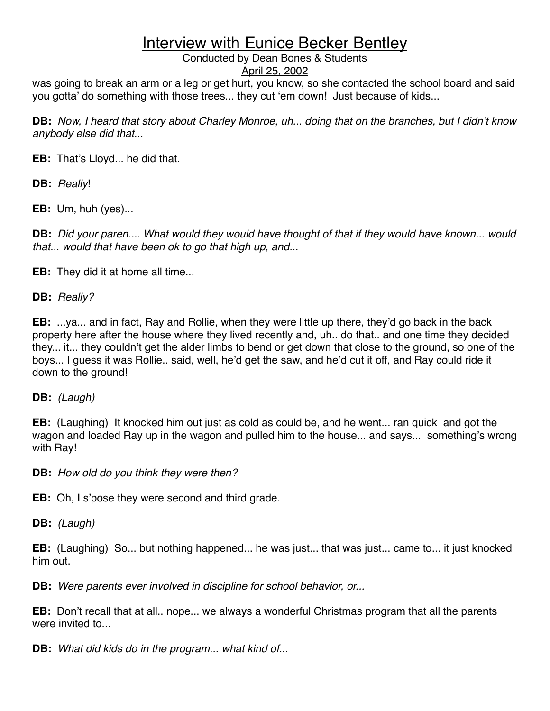Conducted by Dean Bones & Students

#### April 25, 2002

was going to break an arm or a leg or get hurt, you know, so she contacted the school board and said you gotta' do something with those trees... they cut ʻem down! Just because of kids...

**DB:** *Now, I heard that story about Charley Monroe, uh... doing that on the branches, but I didn*'*t know anybody else did that...*

**EB:** That's Lloyd... he did that.

**DB:** *Really*!

**EB:** Um, huh (yes)...

**DB:** *Did your paren.... What would they would have thought of that if they would have known... would that... would that have been ok to go that high up, and...*

**EB:** They did it at home all time...

**DB:** *Really?*

**EB:** ...ya... and in fact, Ray and Rollie, when they were little up there, they'd go back in the back property here after the house where they lived recently and, uh.. do that.. and one time they decided they... it... they couldn't get the alder limbs to bend or get down that close to the ground, so one of the boys... I guess it was Rollie.. said, well, he'd get the saw, and he'd cut it off, and Ray could ride it down to the ground!

**DB:** *(Laugh)*

**EB:** (Laughing) It knocked him out just as cold as could be, and he went... ran quick and got the wagon and loaded Ray up in the wagon and pulled him to the house... and says... something's wrong with Ray!

**DB:** *How old do you think they were then?*

**EB:** Oh, I s'pose they were second and third grade.

**DB:** *(Laugh)*

**EB:** (Laughing) So... but nothing happened... he was just... that was just... came to... it just knocked him out.

**DB:** *Were parents ever involved in discipline for school behavior, or...*

**EB:** Don't recall that at all.. nope... we always a wonderful Christmas program that all the parents were invited to...

**DB:** *What did kids do in the program... what kind of...*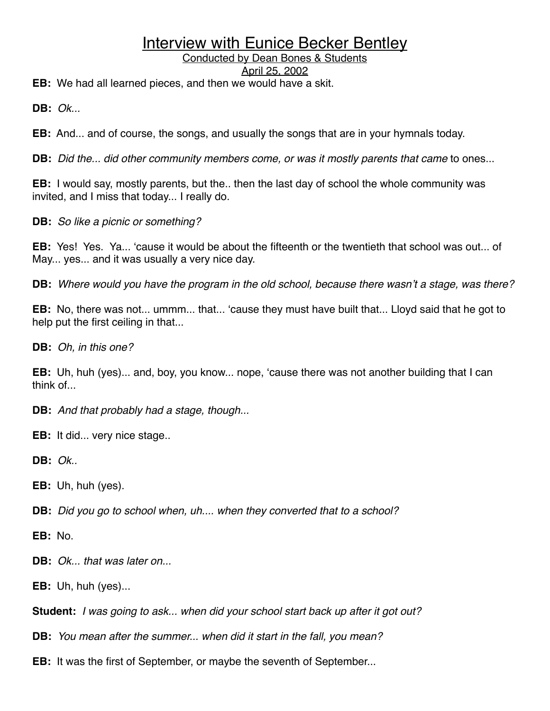#### Conducted by Dean Bones & Students

#### April 25, 2002

**EB:** We had all learned pieces, and then we would have a skit.

**DB:** *Ok...*

**EB:** And... and of course, the songs, and usually the songs that are in your hymnals today.

**DB:** *Did the... did other community members come, or was it mostly parents that came* to ones...

**EB:** I would say, mostly parents, but the.. then the last day of school the whole community was invited, and I miss that today... I really do.

**DB:** *So like a picnic or something?*

**EB:** Yes! Yes. Ya... ʻcause it would be about the fifteenth or the twentieth that school was out... of May... yes... and it was usually a very nice day.

**DB:** *Where would you have the program in the old school, because there wasn*'*t a stage, was there?*

**EB:** No, there was not... ummm... that... ʻcause they must have built that... Lloyd said that he got to help put the first ceiling in that...

**DB:** *Oh, in this one?*

**EB:** Uh, huh (yes)... and, boy, you know... nope, ʻcause there was not another building that I can think of

**DB:** *And that probably had a stage, though...*

**EB:** It did... very nice stage..

**DB:** *Ok..*

**EB:** Uh, huh (yes).

**DB:** *Did you go to school when, uh.... when they converted that to a school?*

**EB:** No.

**DB:** *Ok... that was later on...*

**EB:** Uh, huh (yes)...

**Student:** *I was going to ask... when did your school start back up after it got out?*

**DB:** *You mean after the summer... when did it start in the fall, you mean?*

**EB:** It was the first of September, or maybe the seventh of September...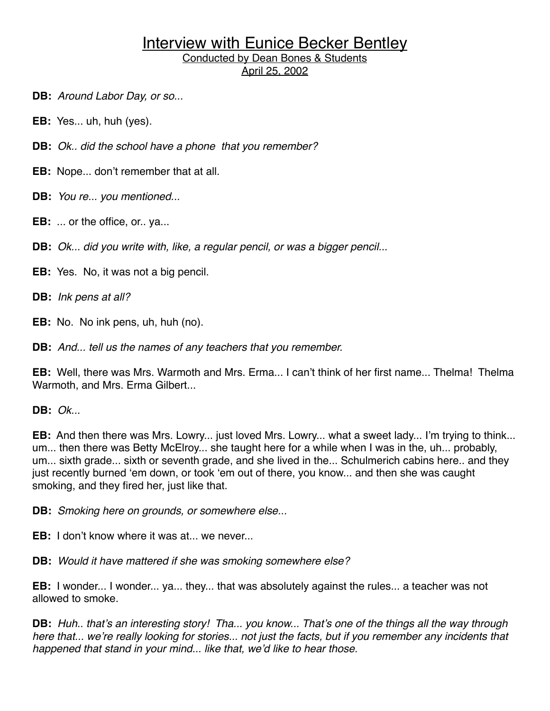**DB:** *Around Labor Day, or so...*

**EB:** Yes... uh, huh (yes).

**DB:** *Ok.. did the school have a phone that you remember?*

**EB:** Nope... don't remember that at all.

**DB:** *You re... you mentioned...*

**EB:** ... or the office, or.. ya...

**DB:** *Ok... did you write with, like, a regular pencil, or was a bigger pencil...*

**EB:** Yes. No, it was not a big pencil.

**DB:** *Ink pens at all?*

**EB:** No. No ink pens, uh, huh (no).

**DB:** *And... tell us the names of any teachers that you remember.*

**EB:** Well, there was Mrs. Warmoth and Mrs. Erma... I can't think of her first name... Thelma! Thelma Warmoth, and Mrs. Erma Gilbert...

**DB:** *Ok...*

**EB:** And then there was Mrs. Lowry... just loved Mrs. Lowry... what a sweet lady... I'm trying to think... um... then there was Betty McElroy... she taught here for a while when I was in the, uh... probably, um... sixth grade... sixth or seventh grade, and she lived in the... Schulmerich cabins here.. and they just recently burned ʻem down, or took ʻem out of there, you know... and then she was caught smoking, and they fired her, just like that.

**DB:** *Smoking here on grounds, or somewhere else...*

**EB:** I don't know where it was at... we never.

**DB:** *Would it have mattered if she was smoking somewhere else?*

**EB:** I wonder... I wonder... ya... they... that was absolutely against the rules... a teacher was not allowed to smoke.

**DB:** *Huh.. that*'*s an interesting story! Tha... you know... That*'*s one of the things all the way through here that... we*'*re really looking for stories... not just the facts, but if you remember any incidents that happened that stand in your mind... like that, we*'*d like to hear those.*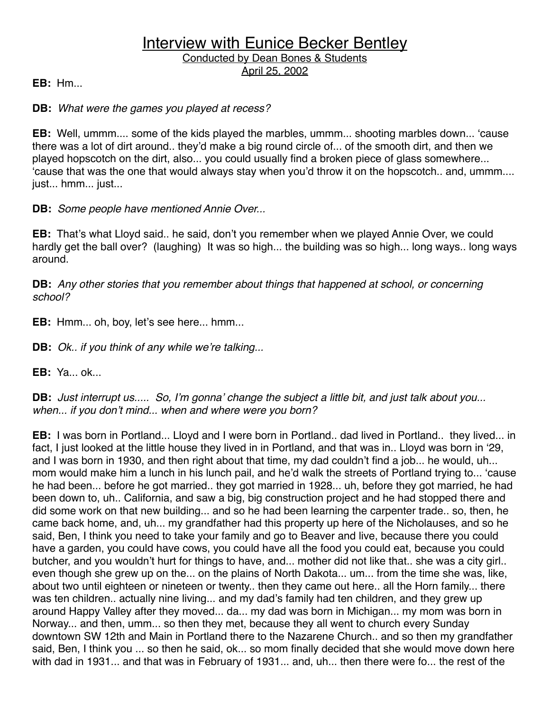**EB:** Hm...

#### **DB:** *What were the games you played at recess?*

**EB:** Well, ummm.... some of the kids played the marbles, ummm... shooting marbles down... ʻcause there was a lot of dirt around.. they'd make a big round circle of... of the smooth dirt, and then we played hopscotch on the dirt, also... you could usually find a broken piece of glass somewhere... ʻcause that was the one that would always stay when you'd throw it on the hopscotch.. and, ummm.... just... hmm... just...

#### **DB:** *Some people have mentioned Annie Over...*

**EB:** That's what Lloyd said.. he said, don't you remember when we played Annie Over, we could hardly get the ball over? (laughing) It was so high... the building was so high... long ways.. long ways around.

**DB:** *Any other stories that you remember about things that happened at school, or concerning school?*

**EB:** Hmm... oh, boy, let's see here... hmm...

**DB:** *Ok.. if you think of any while we*'*re talking...*

**EB:** Ya... ok...

#### **DB:** *Just interrupt us..... So, I*'*m gonna*' *change the subject a little bit, and just talk about you... when... if you don*'*t mind... when and where were you born?*

**EB:** I was born in Portland... Lloyd and I were born in Portland.. dad lived in Portland.. they lived... in fact, I just looked at the little house they lived in in Portland, and that was in.. Lloyd was born in ʻ29, and I was born in 1930, and then right about that time, my dad couldn't find a job... he would, uh... mom would make him a lunch in his lunch pail, and he'd walk the streets of Portland trying to... ʻcause he had been... before he got married.. they got married in 1928... uh, before they got married, he had been down to, uh.. California, and saw a big, big construction project and he had stopped there and did some work on that new building... and so he had been learning the carpenter trade.. so, then, he came back home, and, uh... my grandfather had this property up here of the Nicholauses, and so he said, Ben, I think you need to take your family and go to Beaver and live, because there you could have a garden, you could have cows, you could have all the food you could eat, because you could butcher, and you wouldn't hurt for things to have, and... mother did not like that.. she was a city girl.. even though she grew up on the... on the plains of North Dakota... um... from the time she was, like, about two until eighteen or nineteen or twenty.. then they came out here.. all the Horn family... there was ten children.. actually nine living... and my dad's family had ten children, and they grew up around Happy Valley after they moved... da... my dad was born in Michigan... my mom was born in Norway... and then, umm... so then they met, because they all went to church every Sunday downtown SW 12th and Main in Portland there to the Nazarene Church.. and so then my grandfather said, Ben, I think you ... so then he said, ok... so mom finally decided that she would move down here with dad in 1931... and that was in February of 1931... and, uh... then there were fo... the rest of the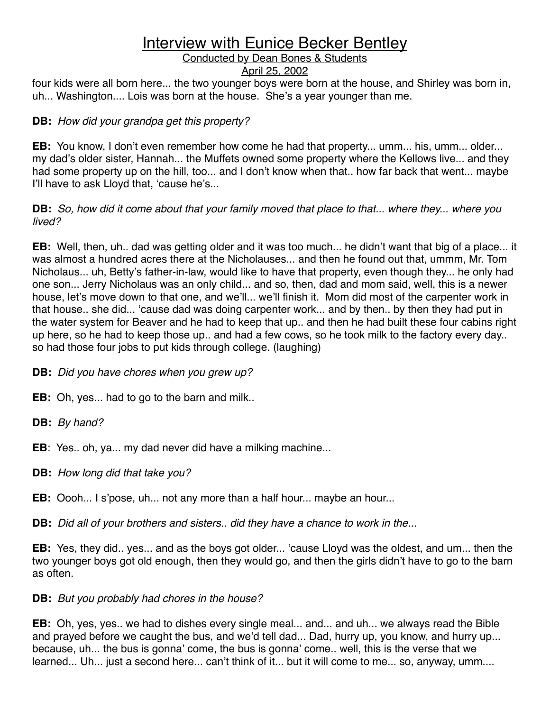#### Conducted by Dean Bones & Students

#### April 25, 2002

four kids were all born here... the two younger boys were born at the house, and Shirley was born in, uh... Washington.... Lois was born at the house. She's a year younger than me.

#### **DB:** *How did your grandpa get this property?*

**EB:** You know, I don't even remember how come he had that property... umm... his, umm... older... my dad's older sister, Hannah... the Muffets owned some property where the Kellows live... and they had some property up on the hill, too... and I don't know when that.. how far back that went... maybe I'll have to ask Lloyd that, ʻcause he's...

#### **DB:** *So, how did it come about that your family moved that place to that... where they... where you lived?*

**EB:** Well, then, uh.. dad was getting older and it was too much... he didn't want that big of a place... it was almost a hundred acres there at the Nicholauses... and then he found out that, ummm, Mr. Tom Nicholaus... uh, Betty's father-in-law, would like to have that property, even though they... he only had one son... Jerry Nicholaus was an only child... and so, then, dad and mom said, well, this is a newer house, let's move down to that one, and we'll... we'll finish it. Mom did most of the carpenter work in that house.. she did... ʻcause dad was doing carpenter work... and by then.. by then they had put in the water system for Beaver and he had to keep that up.. and then he had built these four cabins right up here, so he had to keep those up.. and had a few cows, so he took milk to the factory every day.. so had those four jobs to put kids through college. (laughing)

**DB:** *Did you have chores when you grew up?*

**EB:** Oh, yes... had to go to the barn and milk..

**DB:** *By hand?*

**EB**: Yes.. oh, ya... my dad never did have a milking machine...

**DB:** *How long did that take you?*

**EB:** Oooh... I s'pose, uh... not any more than a half hour... maybe an hour...

**DB:** *Did all of your brothers and sisters.. did they have a chance to work in the...*

**EB:** Yes, they did.. yes... and as the boys got older... ʻcause Lloyd was the oldest, and um... then the two younger boys got old enough, then they would go, and then the girls didn't have to go to the barn as often.

#### **DB:** *But you probably had chores in the house?*

**EB:** Oh, yes, yes.. we had to dishes every single meal... and... and uh... we always read the Bible and prayed before we caught the bus, and we'd tell dad... Dad, hurry up, you know, and hurry up... because, uh... the bus is gonna' come, the bus is gonna' come.. well, this is the verse that we learned... Uh... just a second here... can't think of it... but it will come to me... so, anyway, umm....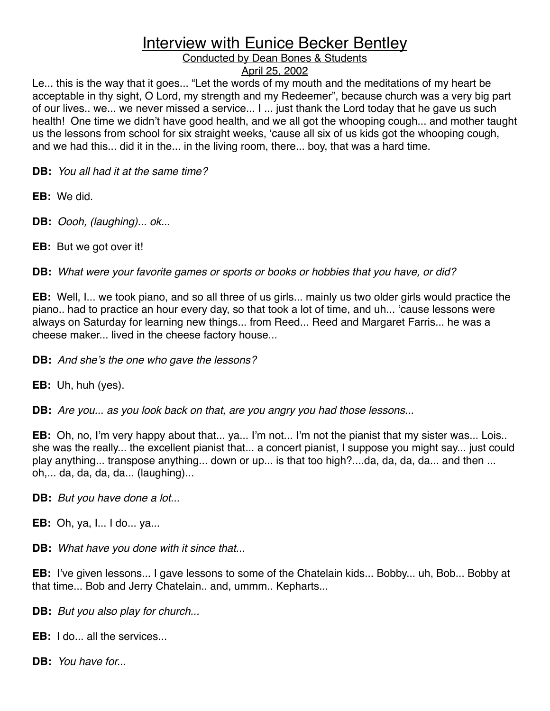#### Conducted by Dean Bones & Students

#### April 25, 2002

Le... this is the way that it goes... "Let the words of my mouth and the meditations of my heart be acceptable in thy sight, O Lord, my strength and my Redeemer", because church was a very big part of our lives.. we... we never missed a service... I ... just thank the Lord today that he gave us such health! One time we didn't have good health, and we all got the whooping cough... and mother taught us the lessons from school for six straight weeks, ʻcause all six of us kids got the whooping cough, and we had this... did it in the... in the living room, there... boy, that was a hard time.

**DB:** *You all had it at the same time?*

**EB:** We did.

**DB:** *Oooh, (laughing)... ok...*

**EB:** But we got over it!

**DB:** *What were your favorite games or sports or books or hobbies that you have, or did?*

**EB:** Well, I... we took piano, and so all three of us girls... mainly us two older girls would practice the piano.. had to practice an hour every day, so that took a lot of time, and uh... ʻcause lessons were always on Saturday for learning new things... from Reed... Reed and Margaret Farris... he was a cheese maker... lived in the cheese factory house...

**DB:** *And she*'*s the one who gave the lessons?*

**EB:** Uh, huh (yes).

**DB:** *Are you... as you look back on that, are you angry you had those lessons...*

**EB:** Oh, no, I'm very happy about that... ya... I'm not... I'm not the pianist that my sister was... Lois.. she was the really... the excellent pianist that... a concert pianist, I suppose you might say... just could play anything... transpose anything... down or up... is that too high?....da, da, da, da... and then ... oh,... da, da, da, da... (laughing)...

**DB:** *But you have done a lot...*

**EB:** Oh, ya, I... I do... ya...

**DB:** *What have you done with it since that...*

**EB:** I've given lessons... I gave lessons to some of the Chatelain kids... Bobby... uh, Bob... Bobby at that time... Bob and Jerry Chatelain.. and, ummm.. Kepharts...

**DB:** *But you also play for church...*

**EB:** I do... all the services...

**DB:** *You have for...*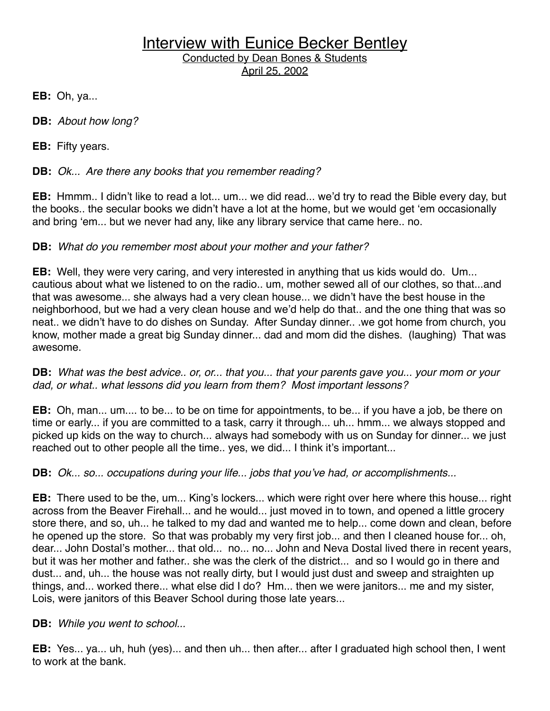**EB:** Oh, ya...

**DB:** *About how long?*

**EB:** Fifty years.

**DB:** *Ok... Are there any books that you remember reading?*

**EB:** Hmmm.. I didn't like to read a lot... um... we did read... we'd try to read the Bible every day, but the books.. the secular books we didn't have a lot at the home, but we would get ʻem occasionally and bring ʻem... but we never had any, like any library service that came here.. no.

#### **DB:** *What do you remember most about your mother and your father?*

**EB:** Well, they were very caring, and very interested in anything that us kids would do. Um... cautious about what we listened to on the radio.. um, mother sewed all of our clothes, so that...and that was awesome... she always had a very clean house... we didn't have the best house in the neighborhood, but we had a very clean house and we'd help do that.. and the one thing that was so neat.. we didn't have to do dishes on Sunday. After Sunday dinner.. .we got home from church, you know, mother made a great big Sunday dinner... dad and mom did the dishes. (laughing) That was awesome.

**DB:** *What was the best advice.. or, or... that you... that your parents gave you... your mom or your dad, or what.. what lessons did you learn from them? Most important lessons?*

**EB:** Oh, man... um.... to be... to be on time for appointments, to be... if you have a job, be there on time or early... if you are committed to a task, carry it through... uh... hmm... we always stopped and picked up kids on the way to church... always had somebody with us on Sunday for dinner... we just reached out to other people all the time.. yes, we did... I think it's important...

**DB:** *Ok... so... occupations during your life... jobs that you*'*ve had, or accomplishments...*

**EB:** There used to be the, um... King's lockers... which were right over here where this house... right across from the Beaver Firehall... and he would... just moved in to town, and opened a little grocery store there, and so, uh... he talked to my dad and wanted me to help... come down and clean, before he opened up the store. So that was probably my very first job... and then I cleaned house for... oh, dear... John Dostal's mother... that old... no... no... John and Neva Dostal lived there in recent years, but it was her mother and father.. she was the clerk of the district... and so I would go in there and dust... and, uh... the house was not really dirty, but I would just dust and sweep and straighten up things, and... worked there... what else did I do? Hm... then we were janitors... me and my sister, Lois, were janitors of this Beaver School during those late years...

**DB:** *While you went to school...*

**EB:** Yes... ya... uh, huh (yes)... and then uh... then after... after I graduated high school then, I went to work at the bank.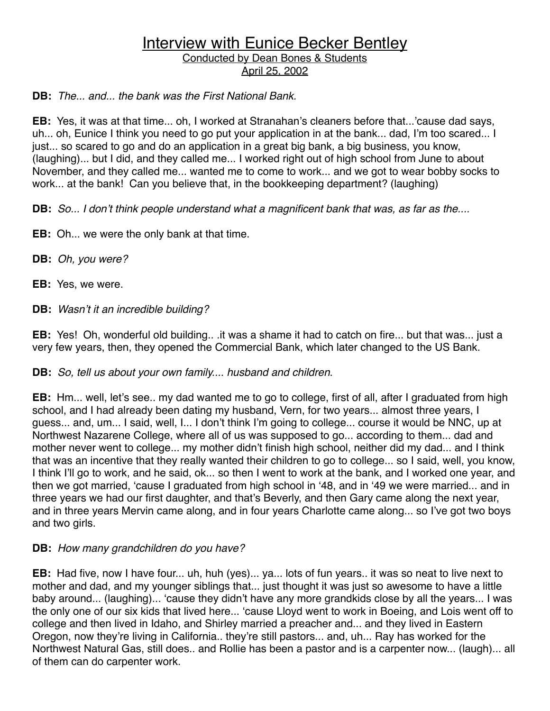#### **DB:** *The... and... the bank was the First National Bank.*

**EB:** Yes, it was at that time... oh, I worked at Stranahan's cleaners before that...'cause dad says, uh... oh, Eunice I think you need to go put your application in at the bank... dad, I'm too scared... I just... so scared to go and do an application in a great big bank, a big business, you know, (laughing)... but I did, and they called me... I worked right out of high school from June to about November, and they called me... wanted me to come to work... and we got to wear bobby socks to work... at the bank! Can you believe that, in the bookkeeping department? (laughing)

**DB:** *So... I don*'*t think people understand what a magnificent bank that was, as far as the....*

**EB:** Oh... we were the only bank at that time.

**DB:** *Oh, you were?*

**EB:** Yes, we were.

**DB:** *Wasn*'*t it an incredible building?*

**EB:** Yes! Oh, wonderful old building.. .it was a shame it had to catch on fire... but that was... just a very few years, then, they opened the Commercial Bank, which later changed to the US Bank.

#### **DB:** *So, tell us about your own family.... husband and children*.

**EB:** Hm... well, let's see.. my dad wanted me to go to college, first of all, after I graduated from high school, and I had already been dating my husband, Vern, for two years... almost three years, I guess... and, um... I said, well, I... I don't think I'm going to college... course it would be NNC, up at Northwest Nazarene College, where all of us was supposed to go... according to them... dad and mother never went to college... my mother didn't finish high school, neither did my dad... and I think that was an incentive that they really wanted their children to go to college... so I said, well, you know, I think I'll go to work, and he said, ok... so then I went to work at the bank, and I worked one year, and then we got married, ʻcause I graduated from high school in ʻ48, and in ʻ49 we were married... and in three years we had our first daughter, and that's Beverly, and then Gary came along the next year, and in three years Mervin came along, and in four years Charlotte came along... so I've got two boys and two girls.

#### **DB:** *How many grandchildren do you have?*

**EB:** Had five, now I have four... uh, huh (yes)... ya... lots of fun years.. it was so neat to live next to mother and dad, and my younger siblings that... just thought it was just so awesome to have a little baby around... (laughing)... ʻcause they didn't have any more grandkids close by all the years... I was the only one of our six kids that lived here... ʻcause Lloyd went to work in Boeing, and Lois went off to college and then lived in Idaho, and Shirley married a preacher and... and they lived in Eastern Oregon, now they're living in California.. they're still pastors... and, uh... Ray has worked for the Northwest Natural Gas, still does.. and Rollie has been a pastor and is a carpenter now... (laugh)... all of them can do carpenter work.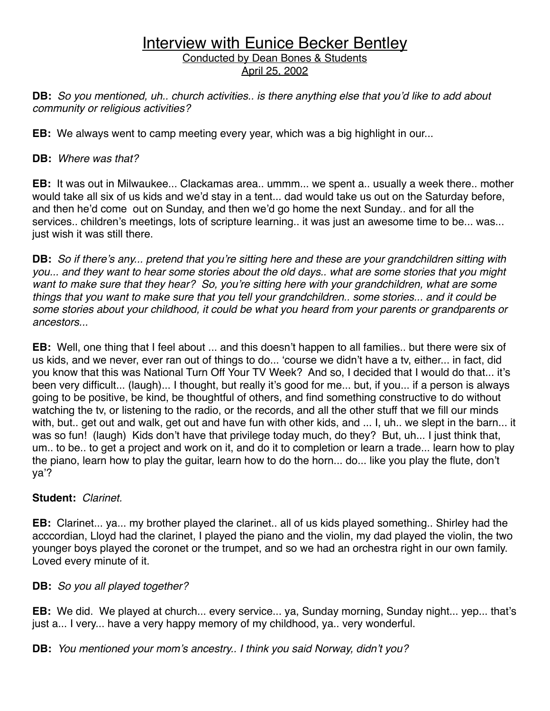**DB:** *So you mentioned, uh.. church activities.. is there anything else that you*'*d like to add about community or religious activities?*

**EB:** We always went to camp meeting every year, which was a big highlight in our...

#### **DB:** *Where was that?*

**EB:** It was out in Milwaukee... Clackamas area.. ummm... we spent a.. usually a week there.. mother would take all six of us kids and we'd stay in a tent... dad would take us out on the Saturday before, and then he'd come out on Sunday, and then we'd go home the next Sunday.. and for all the services.. children's meetings, lots of scripture learning.. it was just an awesome time to be... was... just wish it was still there.

**DB:** *So if there*'*s any... pretend that you*'*re sitting here and these are your grandchildren sitting with you... and they want to hear some stories about the old days.. what are some stories that you might want to make sure that they hear? So, you*'*re sitting here with your grandchildren, what are some things that you want to make sure that you tell your grandchildren.. some stories... and it could be some stories about your childhood, it could be what you heard from your parents or grandparents or ancestors...*

**EB:** Well, one thing that I feel about ... and this doesn't happen to all families.. but there were six of us kids, and we never, ever ran out of things to do... ʻcourse we didn't have a tv, either... in fact, did you know that this was National Turn Off Your TV Week? And so, I decided that I would do that... it's been very difficult... (laugh)... I thought, but really it's good for me... but, if you... if a person is always going to be positive, be kind, be thoughtful of others, and find something constructive to do without watching the tv, or listening to the radio, or the records, and all the other stuff that we fill our minds with, but.. get out and walk, get out and have fun with other kids, and ... I, uh.. we slept in the barn... it was so fun! (laugh) Kids don't have that privilege today much, do they? But, uh... I just think that, um.. to be.. to get a project and work on it, and do it to completion or learn a trade... learn how to play the piano, learn how to play the guitar, learn how to do the horn... do... like you play the flute, don't ya'?

#### **Student:** *Clarinet.*

**EB:** Clarinet... ya... my brother played the clarinet.. all of us kids played something.. Shirley had the acccordian, Lloyd had the clarinet, I played the piano and the violin, my dad played the violin, the two younger boys played the coronet or the trumpet, and so we had an orchestra right in our own family. Loved every minute of it.

#### **DB:** *So you all played together?*

**EB:** We did. We played at church... every service... ya, Sunday morning, Sunday night... yep... that's just a... I very... have a very happy memory of my childhood, ya.. very wonderful.

**DB:** *You mentioned your mom*'*s ancestry.. I think you said Norway, didn*'*t you?*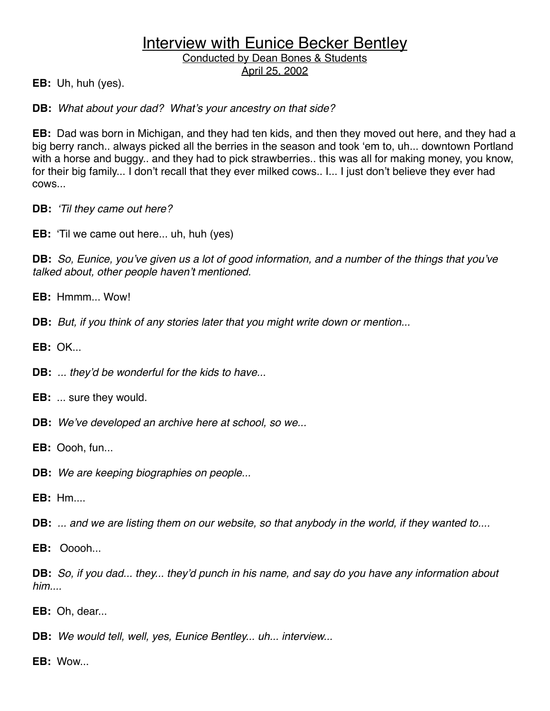**EB:** Uh, huh (yes).

**DB:** *What about your dad? What*'*s your ancestry on that side?*

**EB:** Dad was born in Michigan, and they had ten kids, and then they moved out here, and they had a big berry ranch.. always picked all the berries in the season and took ʻem to, uh... downtown Portland with a horse and buggy.. and they had to pick strawberries.. this was all for making money, you know, for their big family... I don't recall that they ever milked cows.. I... I just don't believe they ever had cows...

**DB:** ʻ*Til they came out here?*

**EB:** ʻTil we came out here... uh, huh (yes)

**DB:** *So, Eunice, you*'*ve given us a lot of good information, and a number of the things that you*'*ve talked about, other people haven*'*t mentioned.*

**EB:** Hmmm... Wow!

**DB:** *But, if you think of any stories later that you might write down or mention...*

**EB:** OK

**DB:** *... they*'*d be wonderful for the kids to have..*.

**EB:** ... sure they would.

**DB:** *We*'*ve developed an archive here at school, so we...*

**EB:** Oooh, fun...

**DB:** *We are keeping biographies on people...*

**EB:** Hm....

**DB:** *... and we are listing them on our website, so that anybody in the world, if they wanted to....*

**EB:** Ooooh...

**DB:** *So, if you dad... they... they*'*d punch in his name, and say do you have any information about him....*

**EB:** Oh, dear...

**DB:** *We would tell, well, yes, Eunice Bentley... uh... interview...*

**EB:** Wow...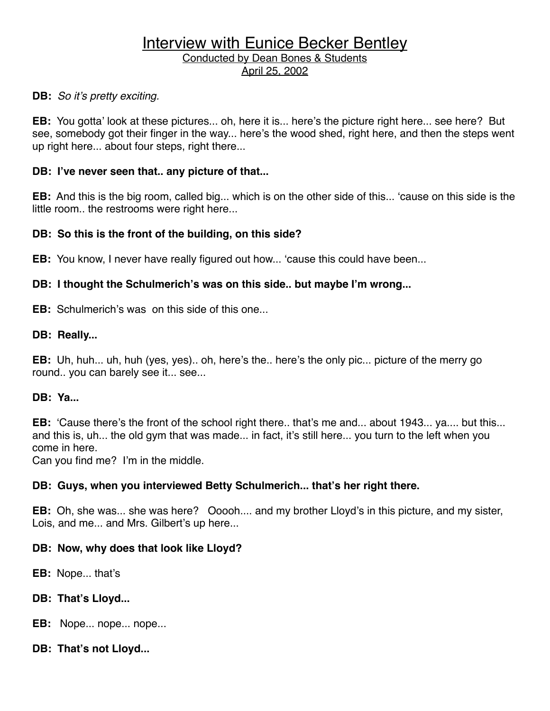#### **DB:** *So it*'*s pretty exciting.*

**EB:** You gotta' look at these pictures... oh, here it is... here's the picture right here... see here? But see, somebody got their finger in the way... here's the wood shed, right here, and then the steps went up right here... about four steps, right there...

#### **DB: I've never seen that.. any picture of that...**

**EB:** And this is the big room, called big... which is on the other side of this... ʻcause on this side is the little room.. the restrooms were right here...

#### **DB: So this is the front of the building, on this side?**

**EB:** You know, I never have really figured out how... ʻcause this could have been...

#### **DB: I thought the Schulmerich's was on this side.. but maybe I'm wrong...**

**EB:** Schulmerich's was on this side of this one...

#### **DB: Really...**

**EB:** Uh, huh... uh, huh (yes, yes).. oh, here's the.. here's the only pic... picture of the merry go round.. you can barely see it... see...

#### **DB: Ya...**

**EB:** ʻCause there's the front of the school right there.. that's me and... about 1943... ya.... but this... and this is, uh... the old gym that was made... in fact, it's still here... you turn to the left when you come in here.

Can you find me? I'm in the middle.

#### **DB: Guys, when you interviewed Betty Schulmerich... that's her right there.**

**EB:** Oh, she was... she was here? Ooooh.... and my brother Lloyd's in this picture, and my sister, Lois, and me... and Mrs. Gilbert's up here...

#### **DB: Now, why does that look like Lloyd?**

**EB:** Nope... that's

#### **DB: That's Lloyd...**

**EB:** Nope... nope... nope...

#### **DB: That's not Lloyd...**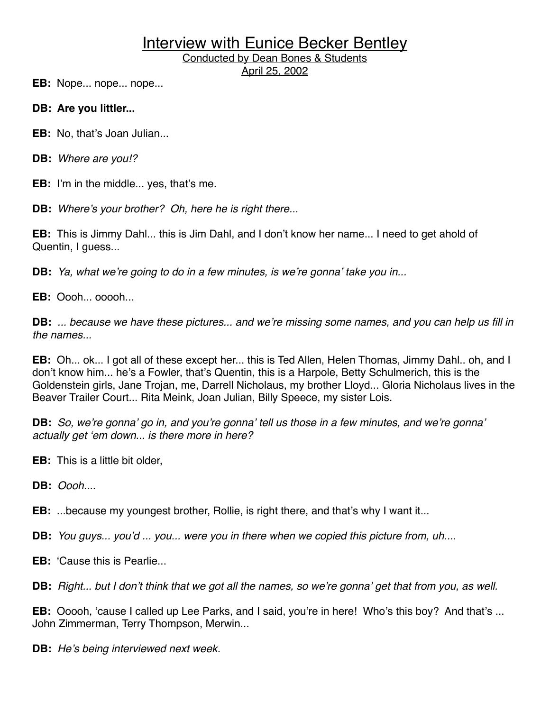Conducted by Dean Bones & Students April 25, 2002

**EB:** Nope... nope... nope...

- **DB: Are you littler...**
- **EB:** No, that's Joan Julian...
- **DB:** *Where are you!?*

**EB:** I'm in the middle... yes, that's me.

**DB:** *Where*'*s your brother? Oh, here he is right there...*

**EB:** This is Jimmy Dahl... this is Jim Dahl, and I don't know her name... I need to get ahold of Quentin, I guess...

**DB:** *Ya, what we*'*re going to do in a few minutes, is we*'*re gonna*' *take you in...*

**EB:** Oooh... ooooh...

**DB:** *... because we have these pictures... and we*'*re missing some names, and you can help us fill in the names...*

**EB:** Oh... ok... I got all of these except her... this is Ted Allen, Helen Thomas, Jimmy Dahl.. oh, and I don't know him... he's a Fowler, that's Quentin, this is a Harpole, Betty Schulmerich, this is the Goldenstein girls, Jane Trojan, me, Darrell Nicholaus, my brother Lloyd... Gloria Nicholaus lives in the Beaver Trailer Court... Rita Meink, Joan Julian, Billy Speece, my sister Lois.

**DB:** *So, we*'*re gonna*' *go in, and you*'*re gonna*' *tell us those in a few minutes, and we*'*re gonna*' *actually get* ʻ*em down... is there more in here?*

- **EB:** This is a little bit older,
- **DB:** *Oooh....*

**EB:** ...because my youngest brother, Rollie, is right there, and that's why I want it...

**DB:** *You guys... you*'*d ... you... were you in there when we copied this picture from, uh....*

**EB:** ʻCause this is Pearlie...

**DB:** *Right... but I don*'*t think that we got all the names, so we*'*re gonna*' *get that from you, as well.*

**EB:** Ooooh, ʻcause I called up Lee Parks, and I said, you're in here! Who's this boy? And that's ... John Zimmerman, Terry Thompson, Merwin...

**DB:** *He*'*s being interviewed next week.*